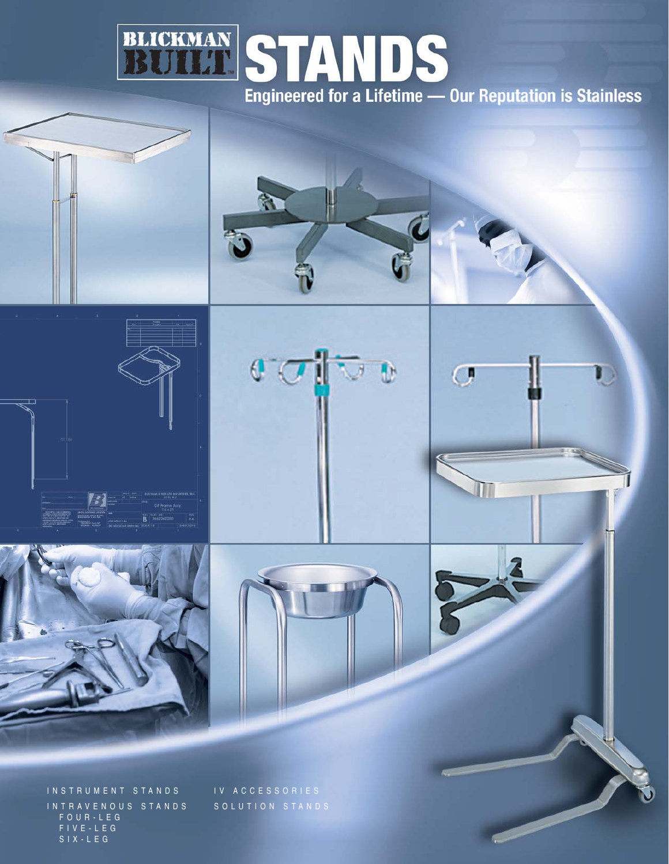

 $\overline{C}$ 







INSTRUMENT STANDS INTRAVENOUS STANDS FOUR-LEG FIVE-LEG SIX-LEG

IV ACCESSORIES SOLUTION STANDS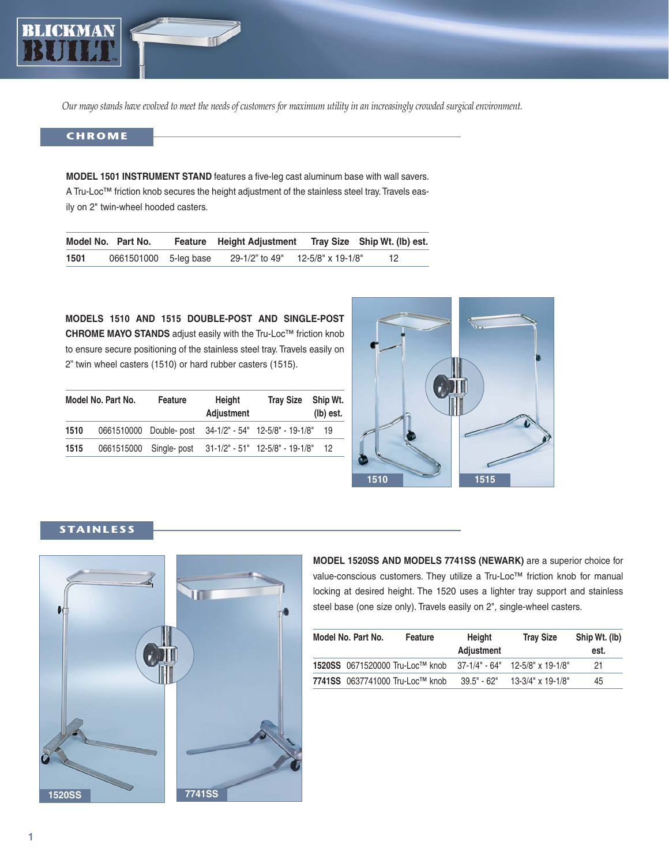

*Our mayo stands have evolved to meet the needs of customers for maximum utility in an increasingly crowded surgical environment.* 

### **CHROME**

**MODEL 1501 INSTRUMENT STAND** features a five-leg cast aluminum base with wall savers. A Tru-Loc™ friction knob secures the height adjustment of the stainless steel tray.Travels easily on 2" twin-wheel hooded casters.

|      | Model No. Part No.    | Feature Height Adjustment Tray Size Ship Wt. (Ib) est. |                   |    |
|------|-----------------------|--------------------------------------------------------|-------------------|----|
| 1501 | 0661501000 5-leg base | 29-1/2" to 49"                                         | 12-5/8" x 19-1/8" | 12 |

**MODELS 1510 AND 1515 DOUBLE-POST AND SINGLE-POST CHROME MAYO STANDS** adjust easily with the Tru-Loc™ friction knob to ensure secure positioning of the stainless steel tray. Travels easily on 2" twin wheel casters (1510) or hard rubber casters (1515).

|      | Model No. Part No. | <b>Feature</b>         | Height<br><b>Adjustment</b> | <b>Tray Size</b>                                        | Ship Wt.<br>(lb) est. |
|------|--------------------|------------------------|-----------------------------|---------------------------------------------------------|-----------------------|
| 1510 |                    |                        |                             | 0661510000 Double- post 34-1/2" - 54" 12-5/8" - 19-1/8" | 19                    |
| 1515 |                    | 0661515000 Single-post |                             | 31-1/2" - 51" 12-5/8" - 19-1/8"                         | 12                    |



## **STAINLESS**



**MODEL 1520SS AND MODELS 7741SS (NEWARK)** are a superior choice for value-conscious customers. They utilize a Tru-Loc™ friction knob for manual locking at desired height. The 1520 uses a lighter tray support and stainless steel base (one size only). Travels easily on 2", single-wheel casters.

| Model No. Part No. | Feature                         | Height<br><b>Adjustment</b> | <b>Tray Size</b>                      | Ship Wt. (lb)<br>est. |
|--------------------|---------------------------------|-----------------------------|---------------------------------------|-----------------------|
|                    | 1520SS 0671520000 Tru-Loc™ knob |                             | $37-1/4$ " - 64" $12-5/8$ " x 19-1/8" | 21                    |
|                    | 7741SS 0637741000 Tru-Loc™ knob | $39.5"$ - 62"               | $13-3/4$ " x 19-1/8"                  | 45                    |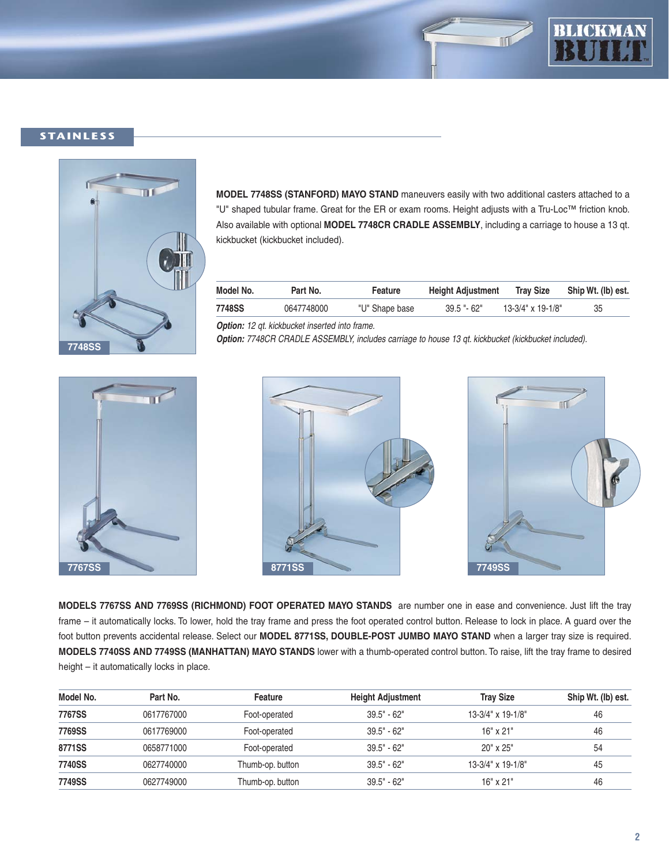



## **STAINLESS**



**MODEL 7748SS (STANFORD) MAYO STAND** maneuvers easily with two additional casters attached to a "U" shaped tubular frame. Great for the ER or exam rooms. Height adjusts with a Tru-Loc™ friction knob. Also available with optional **MODEL 7748CR CRADLE ASSEMBLY**, including a carriage to house a 13 qt. kickbucket (kickbucket included).

| Model No. | Part No.   | Feature        | <b>Height Adjustment</b> | <b>Tray Size</b>     | Ship Wt. (lb) est. |
|-----------|------------|----------------|--------------------------|----------------------|--------------------|
| 7748SS    | 0647748000 | "U" Shape base | $39.5 - 62$              | $13-3/4$ " x 19-1/8" |                    |

**Option:** 12 qt. kickbucket inserted into frame.

**Option:** 7748CR CRADLE ASSEMBLY, includes carriage to house 13 qt. kickbucket (kickbucket included).







**MODELS 7767SS AND 7769SS (RICHMOND) FOOT OPERATED MAYO STANDS** are number one in ease and convenience. Just lift the tray frame – it automatically locks. To lower, hold the tray frame and press the foot operated control button. Release to lock in place. A guard over the foot button prevents accidental release. Select our **MODEL 8771SS, DOUBLE-POST JUMBO MAYO STAND** when a larger tray size is required. **MODELS 7740SS AND 7749SS (MANHATTAN) MAYO STANDS** lower with a thumb-operated control button. To raise, lift the tray frame to desired height – it automatically locks in place.

| Model No. | Part No.   | Feature          | <b>Height Adjustment</b> | <b>Tray Size</b>        | Ship Wt. (lb) est. |
|-----------|------------|------------------|--------------------------|-------------------------|--------------------|
| 7767SS    | 0617767000 | Foot-operated    | $39.5" - 62"$            | $13-3/4$ " x $19-1/8$ " | 46                 |
| 7769SS    | 0617769000 | Foot-operated    | $39.5" - 62"$            | $16"$ x $21"$           | 46                 |
| 8771SS    | 0658771000 | Foot-operated    | $39.5" - 62"$            | $20"$ x $25"$           | 54                 |
| 7740SS    | 0627740000 | Thumb-op. button | $39.5" - 62"$            | $13-3/4$ " x $19-1/8$ " | 45                 |
| 7749SS    | 0627749000 | Thumb-op. button | $39.5" - 62"$            | $16"$ x $21"$           | 46                 |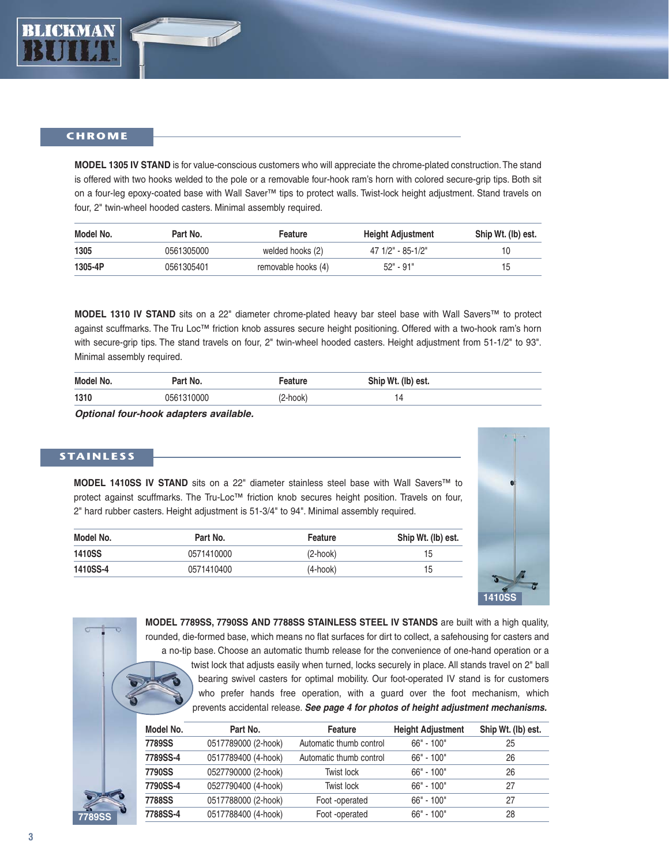

#### **CHROME**

**MODEL 1305 IV STAND** is for value-conscious customers who will appreciate the chrome-plated construction.The stand is offered with two hooks welded to the pole or a removable four-hook ram's horn with colored secure-grip tips. Both sit on a four-leg epoxy-coated base with Wall Saver™ tips to protect walls. Twist-lock height adjustment. Stand travels on four, 2" twin-wheel hooded casters. Minimal assembly required.

| Model No. | Part No.   | Feature             | <b>Height Adjustment</b> | Ship Wt. (lb) est. |
|-----------|------------|---------------------|--------------------------|--------------------|
| 1305      | 0561305000 | welded hooks (2)    | 47 1/2" - 85-1/2"        |                    |
| 1305-4P   | 0561305401 | removable hooks (4) | 52" - 91"                | 15                 |

**MODEL 1310 IV STAND** sits on a 22" diameter chrome-plated heavy bar steel base with Wall Savers™ to protect against scuffmarks. The Tru Loc™ friction knob assures secure height positioning. Offered with a two-hook ram's horn with secure-grip tips. The stand travels on four, 2" twin-wheel hooded casters. Height adjustment from 51-1/2" to 93". Minimal assembly required.

| Model No. | Part No.   | eature   | Ship Wt. (lb) est. |
|-----------|------------|----------|--------------------|
| 1310      | 0561310000 | (2-hook) | 14                 |

**Optional four-hook adapters available.**

### **STAINLESS**

**MODEL 1410SS IV STAND** sits on a 22" diameter stainless steel base with Wall Savers™ to protect against scuffmarks. The Tru-Loc™ friction knob secures height position. Travels on four, 2" hard rubber casters. Height adjustment is 51-3/4" to 94". Minimal assembly required.

| Model No.     | Part No.   | Feature    | Ship Wt. (lb) est. |
|---------------|------------|------------|--------------------|
| <b>1410SS</b> | 0571410000 | $(2-hook)$ | 15                 |
| 1410SS-4      | 0571410400 | $(4-hook)$ | 15                 |



**MODEL 7789SS, 7790SS AND 7788SS STAINLESS STEEL IV STANDS** are built with a high quality, rounded, die-formed base, which means no flat surfaces for dirt to collect, a safehousing for casters and a no-tip base. Choose an automatic thumb release for the convenience of one-hand operation or a twist lock that adjusts easily when turned, locks securely in place. All stands travel on 2" ball bearing swivel casters for optimal mobility. Our foot-operated IV stand is for customers who prefer hands free operation, with a guard over the foot mechanism, which prevents accidental release. **See page 4 for photos of height adjustment mechanisms.**

|        | Model No.     | Part No.            | Feature                 | <b>Height Adjustment</b> | Ship Wt. (lb) est. |
|--------|---------------|---------------------|-------------------------|--------------------------|--------------------|
|        | 7789SS        | 0517789000 (2-hook) | Automatic thumb control | $66" - 100"$             | 25                 |
|        | 7789SS-4      | 0517789400 (4-hook) | Automatic thumb control | $66" - 100"$             | 26                 |
|        | <b>7790SS</b> | 0527790000 (2-hook) | Twist lock              | $66" - 100"$             | 26                 |
|        | 7790SS-4      | 0527790400 (4-hook) | Twist lock              | $66" - 100"$             | 27                 |
|        | <b>7788SS</b> | 0517788000 (2-hook) | Foot -operated          | $66" - 100"$             | 27                 |
| 7789SS | 7788SS-4      | 0517788400 (4-hook) | Foot -operated          | $66" - 100"$             | 28                 |
|        |               |                     |                         |                          |                    |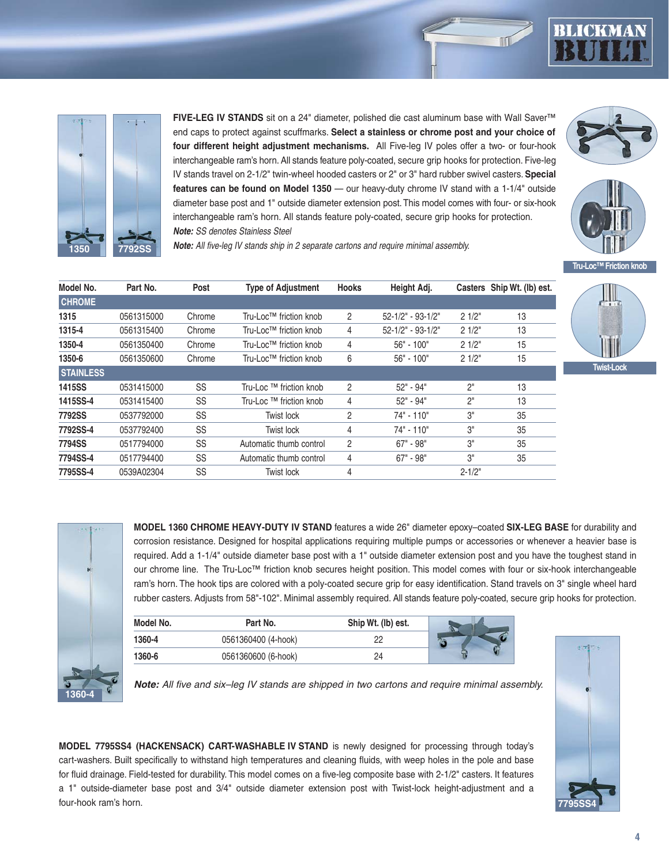



**FIVE-LEG IV STANDS** sit on a 24" diameter, polished die cast aluminum base with Wall Saver™ end caps to protect against scuffmarks. **Select a stainless or chrome post and your choice of four different height adjustment mechanisms.** All Five-leg IV poles offer a two- or four-hook interchangeable ram's horn. All stands feature poly-coated, secure grip hooks for protection. Five-leg IV stands travel on 2-1/2" twin-wheel hooded casters or 2" or 3" hard rubber swivel casters. **Special features can be found on Model 1350** — our heavy-duty chrome IV stand with a 1-1/4" outside diameter base post and 1" outside diameter extension post. This model comes with four- or six-hook interchangeable ram's horn. All stands feature poly-coated, secure grip hooks for protection. **Note:** SS denotes Stainless Steel





**Note:** All five-leg IV stands ship in 2 separate cartons and require minimal assembly.

| Model No.        | Part No.   | Post   | <b>Type of Adjustment</b> | <b>Hooks</b>   | Height Adj.             |                | Casters Ship Wt. (lb) est. |
|------------------|------------|--------|---------------------------|----------------|-------------------------|----------------|----------------------------|
| <b>CHROME</b>    |            |        |                           |                |                         |                |                            |
| 1315             | 0561315000 | Chrome | Tru-Loc™ friction knob    | 2              | $52 - 1/2" - 93 - 1/2"$ | 21/2"          | 13                         |
| 1315-4           | 0561315400 | Chrome | Tru-Loc™ friction knob    | 4              | $52 - 1/2" - 93 - 1/2"$ | 21/2"          | 13                         |
| 1350-4           | 0561350400 | Chrome | Tru-Loc™ friction knob    | 4              | $56" - 100"$            | 21/2"          | 15                         |
| 1350-6           | 0561350600 | Chrome | Tru-Loc™ friction knob    | 6              | $56" - 100"$            | 21/2"          | 15                         |
| <b>STAINLESS</b> |            |        |                           |                |                         |                |                            |
| 1415SS           | 0531415000 | SS     | Tru-Loc ™ friction knob   | 2              | 52" - 94"               | 2"             | 13                         |
| 1415SS-4         | 0531415400 | SS     | Tru-Loc ™ friction knob   | 4              | 52" - 94"               | 2 <sup>n</sup> | 13                         |
| <b>7792SS</b>    | 0537792000 | SS     | Twist lock                | 2              | 74" - 110"              | 3"             | 35                         |
| 7792SS-4         | 0537792400 | SS     | Twist lock                | 4              | 74" - 110"              | 3"             | 35                         |
| 7794SS           | 0517794000 | SS     | Automatic thumb control   | $\overline{c}$ | $67" - 98"$             | 3"             | 35                         |
| 7794SS-4         | 0517794400 | SS     | Automatic thumb control   | 4              | 67" - 98"               | 3"             | 35                         |
| 7795SS-4         | 0539A02304 | SS     | Twist lock                | 4              |                         | $2 - 1/2"$     |                            |





**MODEL 1360 CHROME HEAVY-DUTY IV STAND** features a wide 26" diameter epoxy–coated **SIX-LEG BASE** for durability and corrosion resistance. Designed for hospital applications requiring multiple pumps or accessories or whenever a heavier base is required. Add a 1-1/4" outside diameter base post with a 1" outside diameter extension post and you have the toughest stand in our chrome line. The Tru-Loc™ friction knob secures height position. This model comes with four or six-hook interchangeable ram's horn. The hook tips are colored with a poly-coated secure grip for easy identification. Stand travels on 3" single wheel hard rubber casters. Adjusts from 58"-102". Minimal assembly required. All stands feature poly-coated, secure grip hooks for protection.

| Model No. | Part No.            | Ship Wt. (lb) est. |  |
|-----------|---------------------|--------------------|--|
| 1360-4    | 0561360400 (4-hook) |                    |  |
| 1360-6    | 0561360600 (6-hook) |                    |  |



**Note:** All five and six–leg IV stands are shipped in two cartons and require minimal assembly.

**MODEL 7795SS4 (HACKENSACK) CART-WASHABLE IV STAND** is newly designed for processing through today's cart-washers. Built specifically to withstand high temperatures and cleaning fluids, with weep holes in the pole and base for fluid drainage. Field-tested for durability. This model comes on a five-leg composite base with 2-1/2" casters. It features a 1" outside-diameter base post and 3/4" outside diameter extension post with Twist-lock height-adjustment and a four-hook ram's horn.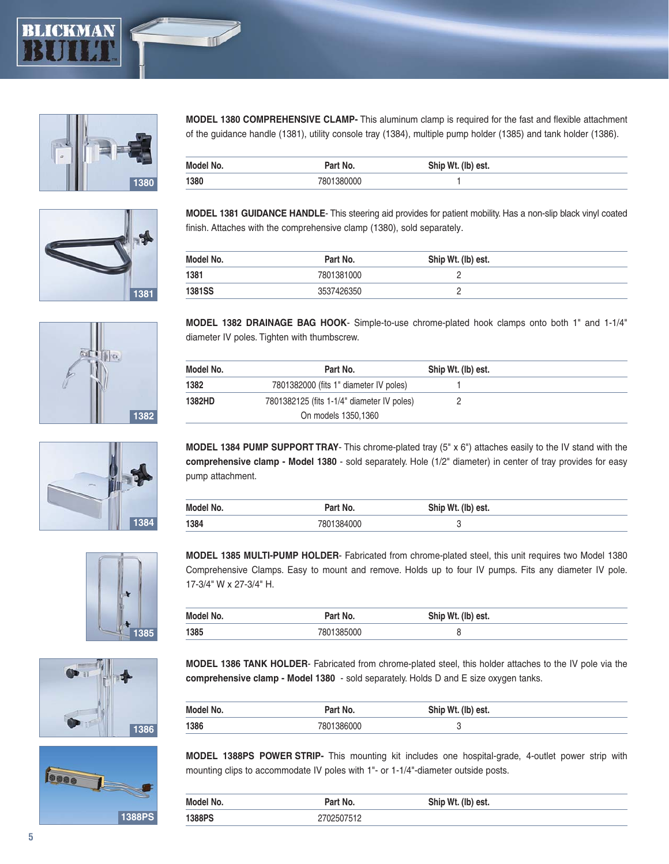















**MODEL 1380 COMPREHENSIVE CLAMP-** This aluminum clamp is required for the fast and flexible attachment of the guidance handle (1381), utility console tray (1384), multiple pump holder (1385) and tank holder (1386).

| Model No. | Part No.   | Ship Wt. (lb) est. |
|-----------|------------|--------------------|
| 1380      | 7801380000 |                    |

**MODEL 1381 GUIDANCE HANDLE**- This steering aid provides for patient mobility. Has a non-slip black vinyl coated finish. Attaches with the comprehensive clamp (1380), sold separately.

| Model No.     | Part No.   | Ship Wt. (lb) est. |  |
|---------------|------------|--------------------|--|
| 1381          | 7801381000 |                    |  |
| <b>1381SS</b> | 3537426350 |                    |  |

**MODEL 1382 DRAINAGE BAG HOOK**- Simple-to-use chrome-plated hook clamps onto both 1" and 1-1/4" diameter IV poles. Tighten with thumbscrew.

| Model No. | Part No.                                   | Ship Wt. (lb) est. |
|-----------|--------------------------------------------|--------------------|
| 1382      | 7801382000 (fits 1" diameter IV poles)     |                    |
| 1382HD    | 7801382125 (fits 1-1/4" diameter IV poles) |                    |
|           | On models 1350,1360                        |                    |

**MODEL 1384 PUMP SUPPORT TRAY**- This chrome-plated tray (5" x 6") attaches easily to the IV stand with the **comprehensive clamp - Model 1380** - sold separately. Hole (1/2" diameter) in center of tray provides for easy pump attachment.

| Model No. | Part No.   | Ship Wt. (lb) est. |
|-----------|------------|--------------------|
| 1384      | 7801384000 |                    |

**MODEL 1385 MULTI-PUMP HOLDER**- Fabricated from chrome-plated steel, this unit requires two Model 1380 Comprehensive Clamps. Easy to mount and remove. Holds up to four IV pumps. Fits any diameter IV pole. 17-3/4" W x 27-3/4" H.

| Model No. | Part No.   | Ship Wt. (lb) est. |
|-----------|------------|--------------------|
| 1385      | 7801385000 |                    |

**MODEL 1386 TANK HOLDER**- Fabricated from chrome-plated steel, this holder attaches to the IV pole via the **comprehensive clamp - Model 1380** - sold separately. Holds D and E size oxygen tanks.

| Model No. | Part No.   | Ship Wt. (lb) est. |
|-----------|------------|--------------------|
| 1386      | 7801386000 |                    |

**MODEL 1388PS POWER STRIP-** This mounting kit includes one hospital-grade, 4-outlet power strip with mounting clips to accommodate IV poles with 1"- or 1-1/4"-diameter outside posts.

| Model No. | Part No.  | Ship Wt. (lb) est. |
|-----------|-----------|--------------------|
| 1388PS    | 702507512 |                    |

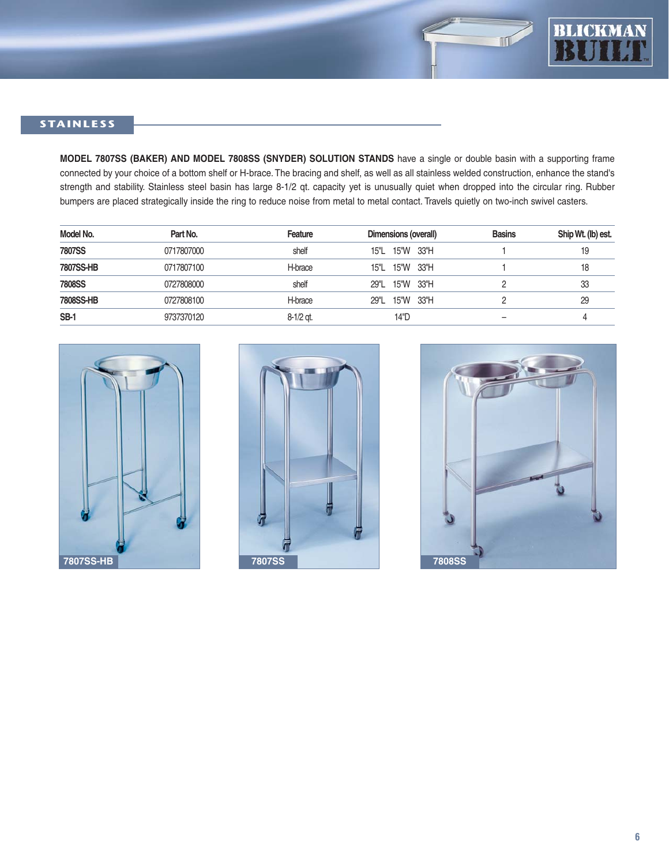

# **STAINLESS**

**MODEL 7807SS (BAKER) AND MODEL 7808SS (SNYDER) SOLUTION STANDS** have a single or double basin with a supporting frame connected by your choice of a bottom shelf or H-brace. The bracing and shelf, as well as all stainless welded construction, enhance the stand's strength and stability. Stainless steel basin has large 8-1/2 qt. capacity yet is unusually quiet when dropped into the circular ring. Rubber bumpers are placed strategically inside the ring to reduce noise from metal to metal contact. Travels quietly on two-inch swivel casters.

| Model No.     | Part No.   | Feature   | Dimensions (overall) | <b>Basins</b> | Ship Wt. (lb) est. |
|---------------|------------|-----------|----------------------|---------------|--------------------|
| <b>7807SS</b> | 0717807000 | shelf     | 15"L 15"W 33"H       |               | 19                 |
| 7807SS-HB     | 0717807100 | H-brace   | 15"L 15"W 33"H       |               | 18                 |
| <b>7808SS</b> | 0727808000 | shelf     | 29"L 15"W 33"H       |               | 33                 |
| 7808SS-HB     | 0727808100 | H-brace   | 29"L 15"W 33"H       |               | 29                 |
| <b>SB-1</b>   | 9737370120 | 8-1/2 gt. | 14"D                 | -             |                    |